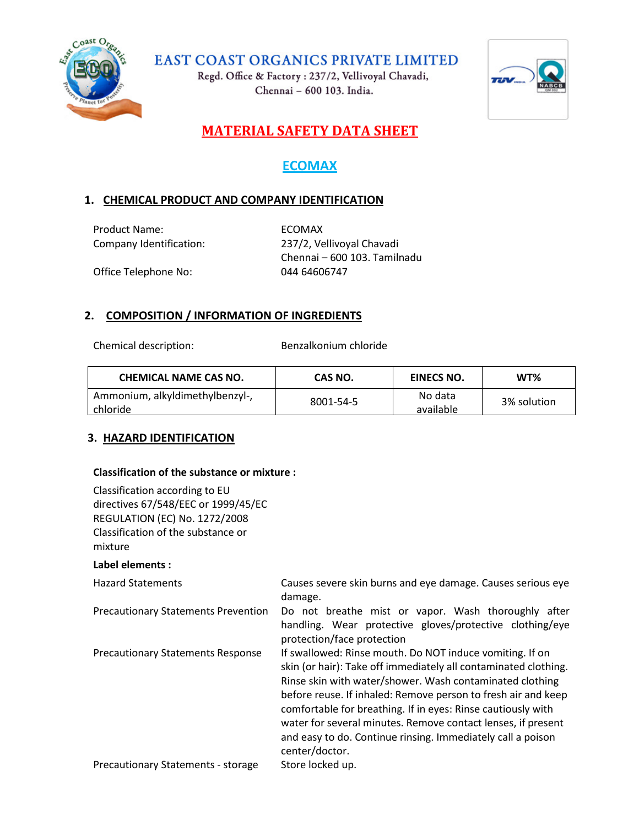

Regd. Office & Factory: 237/2, Vellivoyal Chavadi, Chennai - 600 103. India.



# **MATERIAL SAFETY DATA SHEET**

# **ECOMAX**

## **1. CHEMICAL PRODUCT AND COMPANY IDENTIFICATION**

Product Name: ECOMAX

Company Identification: 237/2, Vellivoyal Chavadi Chennai – 600 103. Tamilnadu Office Telephone No: 044 64606747

#### **2. COMPOSITION / INFORMATION OF INGREDIENTS**

Chemical description: Benzalkonium chloride

| <b>CHEMICAL NAME CAS NO.</b>    | CAS NO.   | <b>EINECS NO.</b> | WT%         |
|---------------------------------|-----------|-------------------|-------------|
| Ammonium, alkyldimethylbenzyl-, | 8001-54-5 | No data           | 3% solution |
| l chloride                      |           | available         |             |

#### **3. HAZARD IDENTIFICATION**

#### **Classification of the substance or mixture :**

Classification according to EU directives 67/548/EEC or 1999/45/EC REGULATION (EC) No. 1272/2008 Classification of the substance or mixture

#### **Label elements :**

| <b>Hazard Statements</b>                   | Causes severe skin burns and eye damage. Causes serious eye<br>damage.                                                                                                                                                                                                                                                                                                                                                                                                    |
|--------------------------------------------|---------------------------------------------------------------------------------------------------------------------------------------------------------------------------------------------------------------------------------------------------------------------------------------------------------------------------------------------------------------------------------------------------------------------------------------------------------------------------|
| <b>Precautionary Statements Prevention</b> | Do not breathe mist or vapor. Wash thoroughly after<br>handling. Wear protective gloves/protective clothing/eye<br>protection/face protection                                                                                                                                                                                                                                                                                                                             |
| <b>Precautionary Statements Response</b>   | If swallowed: Rinse mouth. Do NOT induce vomiting. If on<br>skin (or hair): Take off immediately all contaminated clothing.<br>Rinse skin with water/shower. Wash contaminated clothing<br>before reuse. If inhaled: Remove person to fresh air and keep<br>comfortable for breathing. If in eyes: Rinse cautiously with<br>water for several minutes. Remove contact lenses, if present<br>and easy to do. Continue rinsing. Immediately call a poison<br>center/doctor. |
| Precautionary Statements - storage         | Store locked up.                                                                                                                                                                                                                                                                                                                                                                                                                                                          |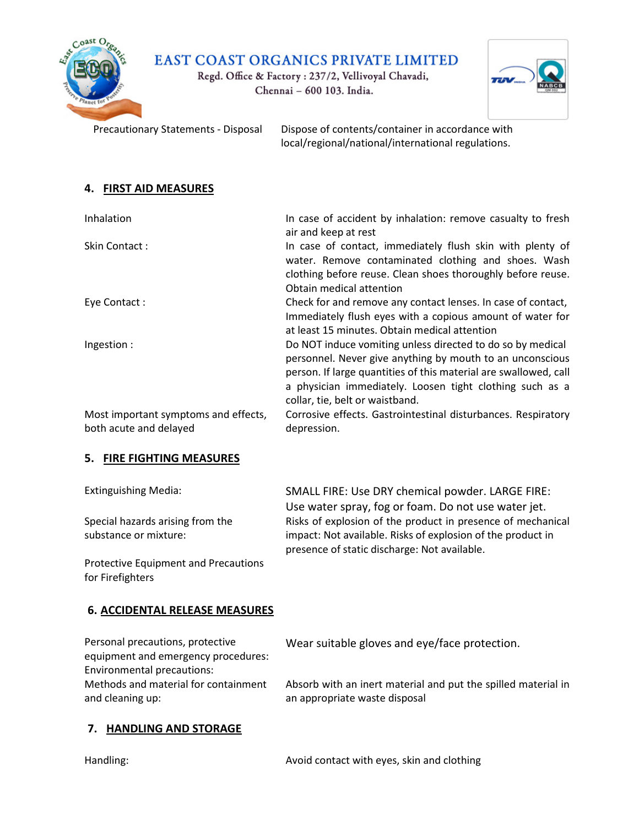

Regd. Office & Factory: 237/2, Vellivoyal Chavadi, Chennai - 600 103. India.



Precautionary Statements - Disposal Dispose of contents/container in accordance with local/regional/national/international regulations.

#### **4. FIRST AID MEASURES**

| Inhalation                                                     | In case of accident by inhalation: remove casualty to fresh<br>air and keep at rest                                                                                                                                                                                                        |
|----------------------------------------------------------------|--------------------------------------------------------------------------------------------------------------------------------------------------------------------------------------------------------------------------------------------------------------------------------------------|
| Skin Contact:                                                  | In case of contact, immediately flush skin with plenty of<br>water. Remove contaminated clothing and shoes. Wash<br>clothing before reuse. Clean shoes thoroughly before reuse.<br>Obtain medical attention                                                                                |
| Eye Contact:                                                   | Check for and remove any contact lenses. In case of contact,<br>Immediately flush eyes with a copious amount of water for<br>at least 15 minutes. Obtain medical attention                                                                                                                 |
| Ingestion:                                                     | Do NOT induce vomiting unless directed to do so by medical<br>personnel. Never give anything by mouth to an unconscious<br>person. If large quantities of this material are swallowed, call<br>a physician immediately. Loosen tight clothing such as a<br>collar, tie, belt or waistband. |
| Most important symptoms and effects,<br>both acute and delayed | Corrosive effects. Gastrointestinal disturbances. Respiratory<br>depression.                                                                                                                                                                                                               |

#### **5. FIRE FIGHTING MEASURES**

| <b>Extinguishing Media:</b>                 | SMALL FIRE: Use DRY chemical powder. LARGE FIRE:            |
|---------------------------------------------|-------------------------------------------------------------|
|                                             | Use water spray, fog or foam. Do not use water jet.         |
| Special hazards arising from the            | Risks of explosion of the product in presence of mechanical |
| substance or mixture:                       | impact: Not available. Risks of explosion of the product in |
|                                             | presence of static discharge: Not available.                |
| <b>Protective Equipment and Precautions</b> |                                                             |

## **6. ACCIDENTAL RELEASE MEASURES**

Personal precautions, protective equipment and emergency procedures: Environmental precautions: Methods and material for containment and cleaning up:

Wear suitable gloves and eye/face protection.

Absorb with an inert material and put the spilled material in an appropriate waste disposal

#### **7. HANDLING AND STORAGE**

for Firefighters

Handling: Avoid contact with eyes, skin and clothing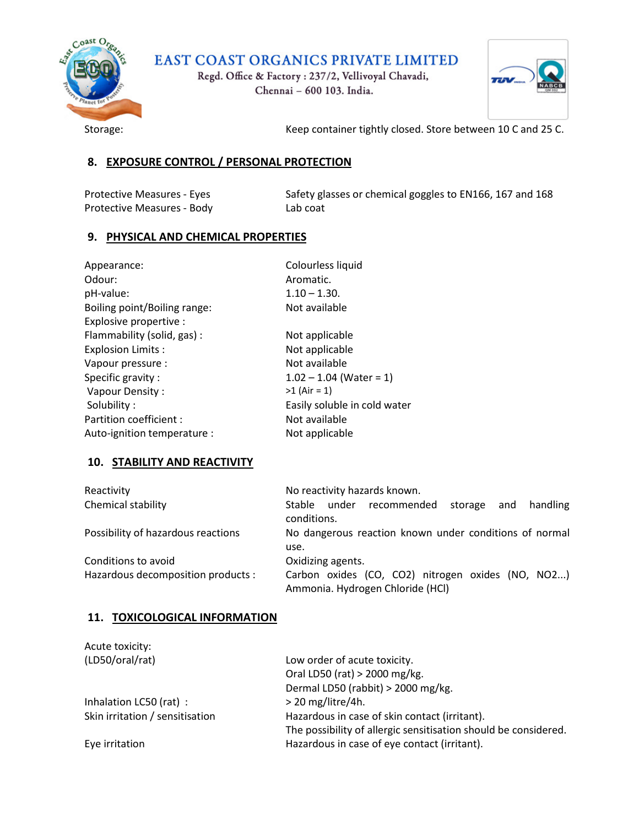

Regd. Office & Factory: 237/2, Vellivoyal Chavadi, Chennai - 600 103. India.



Storage: Storage: Storage: Keep container tightly closed. Store between 10 C and 25 C.

#### **8. EXPOSURE CONTROL / PERSONAL PROTECTION**

Protective Measures - Body Lab coat

Protective Measures - Eyes Safety glasses or chemical goggles to EN166, 167 and 168

#### **9. PHYSICAL AND CHEMICAL PROPERTIES**

| Appearance:                  | Colourless liquid            |
|------------------------------|------------------------------|
| Odour:                       | Aromatic.                    |
| pH-value:                    | $1.10 - 1.30.$               |
| Boiling point/Boiling range: | Not available                |
| Explosive propertive :       |                              |
| Flammability (solid, gas) :  | Not applicable               |
| <b>Explosion Limits:</b>     | Not applicable               |
| Vapour pressure :            | Not available                |
| Specific gravity:            | $1.02 - 1.04$ (Water = 1)    |
| Vapour Density:              | $>1$ (Air = 1)               |
| Solubility:                  | Easily soluble in cold water |
| Partition coefficient :      | Not available                |
| Auto-ignition temperature :  | Not applicable               |

#### **10. STABILITY AND REACTIVITY**

| Reactivity                                                | No reactivity hazards known.                                                                               |
|-----------------------------------------------------------|------------------------------------------------------------------------------------------------------------|
| Chemical stability                                        | Stable under recommended<br>and handling<br>storage<br>conditions.                                         |
| Possibility of hazardous reactions                        | No dangerous reaction known under conditions of normal<br>use.                                             |
| Conditions to avoid<br>Hazardous decomposition products : | Oxidizing agents.<br>Carbon oxides (CO, CO2) nitrogen oxides (NO, NO2)<br>Ammonia. Hydrogen Chloride (HCl) |

#### **11. TOXICOLOGICAL INFORMATION**

| Acute toxicity:                 |                                                                 |
|---------------------------------|-----------------------------------------------------------------|
| (LD50/oral/rat)                 | Low order of acute toxicity.                                    |
|                                 | Oral LD50 (rat) > 2000 mg/kg.                                   |
|                                 | Dermal LD50 (rabbit) > 2000 mg/kg.                              |
| Inhalation LC50 (rat) :         | $>$ 20 mg/litre/4h.                                             |
| Skin irritation / sensitisation | Hazardous in case of skin contact (irritant).                   |
|                                 | The possibility of allergic sensitisation should be considered. |
| Eye irritation                  | Hazardous in case of eye contact (irritant).                    |